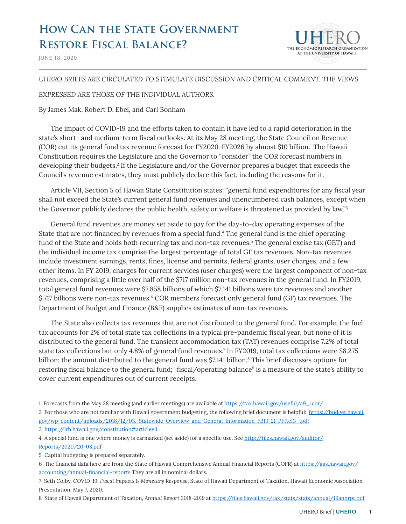# **HOW CAN THE STATE GOVERNMENT Restore Fiscal Balance?**



JUNE 18, 2020

#### *UHERO BRIEFS ARE CIRCULATED TO STIMULATE DISCUSSION AND CRITICAL COMMENT. THE VIEWS*

#### *EXPRESSED ARE THOSE OF THE INDIVIDUAL AUTHORS.*

#### By James Mak, Robert D. Ebel, and Carl Bonham

The impact of COVID-19 and the efforts taken to contain it have led to a rapid deterioration in the state's short- and medium-term fiscal outlooks. At its May 28 meeting, the State Council on Revenue (COR) cut its general fund tax revenue forecast for FY2020-FY2026 by almost \$10 billion.<sup>1</sup> The Hawaii Constitution requires the Legislature and the Governor to "consider" the COR forecast numbers in developing their budgets.2 If the Legislature and/or the Governor prepares a budget that exceeds the Council's revenue estimates, they must publicly declare this fact, including the reasons for it.

Article VII, Section 5 of Hawaii State Constitution states: "general fund expenditures for any fiscal year shall not exceed the State's current general fund revenues and unencumbered cash balances, except when the Governor publicly declares the public health, safety or welfare is threatened as provided by law."<sup>3</sup>

General fund revenues are money set aside to pay for the day-to-day operating expenses of the State that are not financed by revenues from a special fund.<sup>4</sup> The general fund is the chief operating fund of the State and holds both recurring tax and non-tax revenues.<sup>5</sup> The general excise tax (GET) and the individual income tax comprise the largest percentage of total GF tax revenues. Non-tax revenues include investment earnings, rents, fines, license and permits, federal grants, user charges, and a few other items. In FY 2019, charges for current services (user charges) were the largest component of non-tax revenues, comprising a little over half of the \$717 million non-tax revenues in the general fund. In FY2019, total general fund revenues were \$7.858 billions of which \$7.141 billions were tax revenues and another \$.717 billions were non-tax revenues.<sup>6</sup> COR members forecast only general fund (GF) tax revenues. The Department of Budget and Finance (B&F) supplies estimates of non-tax revenues.

The State also collects tax revenues that are not distributed to the general fund. For example, the fuel tax accounts for 2% of total state tax collections in a typical pre-pandemic fiscal year, but none of it is distributed to the general fund. The transient accommodation tax (TAT) revenues comprise 7.2% of total state tax collections but only 4.8% of general fund revenues.7 In FY2019, total tax collections were \$8.275 billion; the amount distributed to the general fund was \$7.141 billion.<sup>8</sup> This brief discusses options for restoring fiscal balance to the general fund; "fiscal/operating balance" is a measure of the state's ability to cover current expenditures out of current receipts.

2 For those who are not familiar with Hawaii government budgeting, the following brief document is helpful: [https://budget.hawaii.](https://budget.hawaii.gov/wp-content/uploads/2018/12/03.-Statewide-Overview-and-General-Information-FB19-21-PFP.ef3_.pdf) [gov/wp-content/uploads/2018/12/03.-Statewide-Overview-and-General-Information-FB19-21-PFP.ef3\\_.pdf](https://budget.hawaii.gov/wp-content/uploads/2018/12/03.-Statewide-Overview-and-General-Information-FB19-21-PFP.ef3_.pdf)

[Reports/2020/20-08.pdf](http://files.hawaii.gov/auditor/Reports/2020/20-08.pdf)

<sup>1</sup> Forecasts from the May 28 meeting (and earlier meetings) are available at [https://tax.hawaii.gov/useful/a9\\_1cor/](https://tax.hawaii.gov/useful/a9_1cor/).

<sup>3</sup> https://lrb.hawaii.gov/constitution#articlevii

<sup>4</sup> A special fund is one where money is earmarked (set aside) for a specific use. See [http://files.hawaii.gov/auditor/](http://files.hawaii.gov/auditor/Reports/2020/20-08.pdf)

<sup>5</sup> Capital budgeting is prepared separately.

<sup>6</sup> The financial data here are from the State of Hawaii Comprehensive Annual Financial Reports (COFR) at [https://ags.hawaii.gov/](https://ags.hawaii.gov/accounting/annual-financial-reports/) [accounting/annual-financial-reports](https://ags.hawaii.gov/accounting/annual-financial-reports/) They are all in nominal dollars.

<sup>7</sup> Seth Colby, *COVID-19: Fiscal Impacts & Monetary Response*, State of Hawaii Department of Taxation, Hawaii Economic Association Presentation, May 7, 2020.

<sup>8</sup> State of Hawaii Department of Taxation, *Annual Report 2018-2019* at <https://files.hawaii.gov/tax/stats/stats/annual/19annrpt.pdf>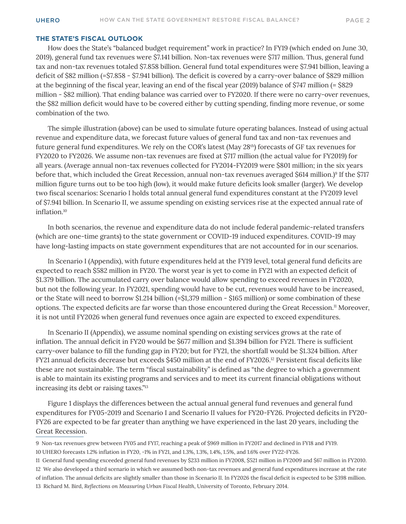#### **THE STATE'S FISCAL OUTLOOK**

How does the State's "balanced budget requirement" work in practice? In FY19 (which ended on June 30, 2019), general fund tax revenues were \$7.141 billion. Non-tax revenues were \$717 million. Thus, general fund tax and non-tax revenues totaled \$7.858 billion. General fund total expenditures were \$7.941 billion, leaving a deficit of \$82 million (=\$7.858 - \$7.941 billion). The deficit is covered by a carry-over balance of \$829 million at the beginning of the fiscal year, leaving an end of the fiscal year (2019) balance of \$747 million (= \$829 million - \$82 million). That ending balance was carried over to FY2020. If there were no carry-over revenues, the \$82 million deficit would have to be covered either by cutting spending, finding more revenue, or some combination of the two.

The simple illustration (above) can be used to simulate future operating balances. Instead of using actual revenue and expenditure data, we forecast future values of general fund tax and non-tax revenues and future general fund expenditures. We rely on the COR's latest (May 28th) forecasts of GF tax revenues for FY2020 to FY2026. We assume non-tax revenues are fixed at \$717 million (the actual value for FY2019) for all years. (Average annual non-tax revenues collected for FY2014-FY2019 were \$801 million; in the six years before that, which included the Great Recession, annual non-tax revenues averaged \$614 million.)<sup>9</sup> If the \$717 million figure turns out to be too high (low), it would make future deficits look smaller (larger). We develop two fiscal scenarios: Scenario I holds total annual general fund expenditures constant at the FY2019 level of \$7.941 billion. In Scenario II, we assume spending on existing services rise at the expected annual rate of inflation.10

In both scenarios, the revenue and expenditure data do not include federal pandemic-related transfers (which are one-time grants) to the state government or COVID-19 induced expenditures. COVID-19 may have long-lasting impacts on state government expenditures that are not accounted for in our scenarios.

In Scenario I (Appendix), with future expenditures held at the FY19 level, total general fund deficits are expected to reach \$582 million in FY20. The worst year is yet to come in FY21 with an expected deficit of \$1.379 billion. The accumulated carry over balance would allow spending to exceed revenues in FY2020, but not the following year. In FY2021, spending would have to be cut, revenues would have to be increased, or the State will need to borrow \$1.214 billion (=\$1,379 million - \$165 million) or some combination of these options. The expected deficits are far worse than those encountered during the Great Recession.11 Moreover, it is not until FY2026 when general fund revenues once again are expected to exceed expenditures.

In Scenario II (Appendix), we assume nominal spending on existing services grows at the rate of inflation. The annual deficit in FY20 would be \$677 million and \$1.394 billion for FY21. There is sufficient carry-over balance to fill the funding gap in FY20; but for FY21, the shortfall would be \$1.324 billion. After FY21 annual deficits decrease but exceeds \$450 million at the end of FY2026.12 Persistent fiscal deficits like these are not sustainable. The term "fiscal sustainability" is defined as "the degree to which a government is able to maintain its existing programs and services and to meet its current financial obligations without increasing its debt or raising taxes."<sup>13</sup>

Figure 1 displays the differences between the actual annual general fund revenues and general fund expenditures for FY05-2019 and Scenario I and Scenario II values for FY20-FY26. Projected deficits in FY20- FY26 are expected to be far greater than anything we have experienced in the last 20 years, including the Great Recession.

<sup>9</sup> Non-tax revenues grew between FY05 and FY17, reaching a peak of \$969 million in FY2017 and declined in FY18 and FY19. 10 UHERO forecasts 1.2% inflation in FY20, -1% in FY21, and 1.3%, 1.3%, 1.4%, 1.5%, and 1.6% over FY22-FY26.

<sup>11</sup> General fund spending exceeded general fund revenues by \$233 million in FY2008, \$521 million in FY2009 and \$67 million in FY2010. 12 We also developed a third scenario in which we assumed both non-tax revenues and general fund expenditures increase at the rate

of inflation. The annual deficits are slightly smaller than those in Scenario II. In FY2026 the fiscal deficit is expected to be \$398 million. 13 Richard M. Bird, *Reflections on Measuring Urban Fiscal Health*, University of Toronto, February 2014.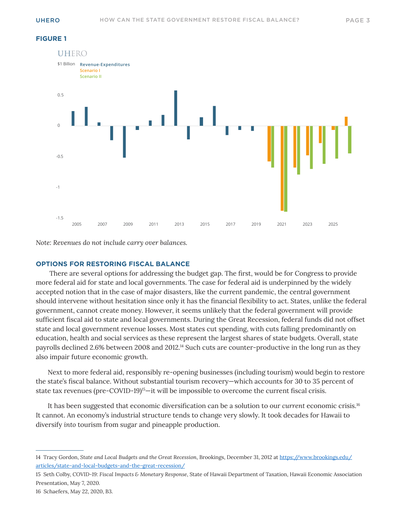#### **FIGURE 1**



*Note: Revenues do not include carry over balances.*

#### **OPTIONS FOR RESTORING FISCAL BALANCE**

 There are several options for addressing the budget gap. The first, would be for Congress to provide more federal aid for state and local governments. The case for federal aid is underpinned by the widely accepted notion that in the case of major disasters, like the current pandemic, the central government should intervene without hesitation since only it has the financial flexibility to act. States, unlike the federal government, cannot create money. However, it seems unlikely that the federal government will provide sufficient fiscal aid to state and local governments. During the Great Recession, federal funds did not offset state and local government revenue losses. Most states cut spending, with cuts falling predominantly on education, health and social services as these represent the largest shares of state budgets. Overall, state payrolls declined 2.6% between 2008 and 2012.<sup>14</sup> Such cuts are counter-productive in the long run as they also impair future economic growth.

Next to more federal aid, responsibly re-opening businesses (including tourism) would begin to restore the state's fiscal balance. Without substantial tourism recovery—which accounts for 30 to 35 percent of state tax revenues (pre-COVID-19)<sup>15</sup>—it will be impossible to overcome the current fiscal crisis.

It has been suggested that economic diversification can be a solution to our *current* economic crisis.<sup>16</sup> It cannot. An economy's industrial structure tends to change very slowly. It took decades for Hawaii to diversify *into* tourism from sugar and pineapple production.

16 Schaefers, May 22, 2020, B3.

<sup>14</sup> Tracy Gordon, *State and Local Budgets and the Great Recession*, Brookings, December 31, 2012 at [https://www.brookings.edu/](https://www.brookings.edu/articles/state-and-local-budgets-and-the-great-recession/) [articles/state-and-local-budgets-and-the-great-recession/](https://www.brookings.edu/articles/state-and-local-budgets-and-the-great-recession/)

<sup>15</sup> Seth Colby, *COVID-19: Fiscal Impacts & Monetary Response*, State of Hawaii Department of Taxation, Hawaii Economic Association Presentation, May 7, 2020.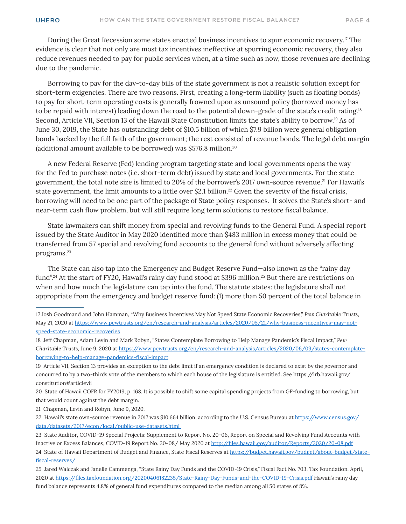During the Great Recession some states enacted business incentives to spur economic recovery.17 The evidence is clear that not only are most tax incentives ineffective at spurring economic recovery, they also reduce revenues needed to pay for public services when, at a time such as now, those revenues are declining due to the pandemic.

Borrowing to pay for the day-to-day bills of the state government is not a realistic solution except for short-term exigencies. There are two reasons. First, creating a long-term liability (such as floating bonds) to pay for short-term operating costs is generally frowned upon as unsound policy (borrowed money has to be repaid with interest) leading down the road to the potential down-grade of the state's credit rating.18 Second, Article VII, Section 13 of the Hawaii State Constitution limits the state's ability to borrow.19 As of June 30, 2019, the State has outstanding debt of \$10.5 billion of which \$7.9 billion were general obligation bonds backed by the full faith of the government; the rest consisted of revenue bonds. The legal debt margin (additional amount available to be borrowed) was \$576.8 million.20

A new Federal Reserve (Fed) lending program targeting state and local governments opens the way for the Fed to purchase notes (i.e. short-term debt) issued by state and local governments. For the state government, the total note size is limited to 20% of the borrower's 2017 own-source revenue.21 For Hawaii's state government, the limit amounts to a little over \$2.1 billion.<sup>22</sup> Given the severity of the fiscal crisis, borrowing will need to be one part of the package of State policy responses. It solves the State's short- and near-term cash flow problem, but will still require long term solutions to restore fiscal balance.

State lawmakers can shift money from special and revolving funds to the General Fund. A special report issued by the State Auditor in May 2020 identified more than \$483 million in excess money that could be transferred from 57 special and revolving fund accounts to the general fund without adversely affecting programs.23

The State can also tap into the Emergency and Budget Reserve Fund—also known as the "rainy day fund".<sup>24</sup> At the start of FY20, Hawaii's rainy day fund stood at \$396 million.<sup>25</sup> But there are restrictions on when and how much the legislature can tap into the fund. The statute states: the legislature shall *not*  appropriate from the emergency and budget reserve fund: (1) more than 50 percent of the total balance in

- 17 Josh Goodmand and John Hamman, "Why Business Incentives May Not Speed State Economic Recoveries," *Pew Charitable Trusts*, May 21, 2020 at [https://www.pewtrusts.org/en/research-and-analysis/articles/2020/05/21/why-business-incentives-may-not](https://www.pewtrusts.org/en/research-and-analysis/articles/2020/05/21/why-business-incentives-may-n)[speed-state-economic-recoveries](https://www.pewtrusts.org/en/research-and-analysis/articles/2020/05/21/why-business-incentives-may-n)
- 18 Jeff Chapman, Adam Levin and Mark Robyn, "States Contemplate Borrowing to Help Manage Pandemic's Fiscal Impact," *Pew Charitable Trusts*, June 9, 2020 at [https://www.pewtrusts.org/en/research-and-analysis/articles/2020/06/09/states-contemplate](https://www.pewtrusts.org/en/research-and-analysis/articles/2020/06/09/states-contemplate-borrowing-)[borrowing-to-help-manage-pandemics-fiscal-impact](https://www.pewtrusts.org/en/research-and-analysis/articles/2020/06/09/states-contemplate-borrowing-)

19 Article VII, Section 13 provides an exception to the debt limit if an emergency condition is declared to exist by the governor and concurred to by a two-thirds vote of the members to which each house of the legislature is entitled. See https://lrb.hawaii.gov/ constitution#articlevii

20 State of Hawaii COFR for FY2019, p. 168. It is possible to shift some capital spending projects from GF-funding to borrowing, but that would count against the debt margin.

21 Chapman, Levin and Robyn, June 9, 2020.

22 Hawaii's state own-source revenue in 2017 was \$10.664 billion, according to the U.S. Census Bureau at [https://www.census.gov/](https://www.census.gov/data/datasets/2017/econ/local/public-use-datasets.html ) [data/datasets/2017/econ/local/public-use-datasets.html](https://www.census.gov/data/datasets/2017/econ/local/public-use-datasets.html ) 

23 State Auditor, COVID-19 Special Projects: Supplement to Report No. 20-06, Report on Special and Revolving Fund Accounts with Inactive or Excess Balances, COVID-19 Report No. 20-08/ May 2020 at <http://files.hawaii.gov/auditor/Reports/2020/20-08.pdf> 24 State of Hawaii Department of Budget and Finance, State Fiscal Reserves at [https://budget.hawaii.gov/budget/about-budget/state](https://budget.hawaii.gov/budget/about-budget/state-fiscal-reserves/)[fiscal-reserves/](https://budget.hawaii.gov/budget/about-budget/state-fiscal-reserves/)

<sup>25</sup> Jared Walczak and Janelle Cammenga, "State Rainy Day Funds and the COVID-19 Crisis," Fiscal Fact No. 703, Tax Foundation, April, 2020 at <https://files.taxfoundation.org/20200406182235/State-Rainy-Day-Funds-and-the-COVID-19-Crisis.pdf> Hawaii's rainy day fund balance represents 4.8% of general fund expenditures compared to the median among all 50 states of 8%.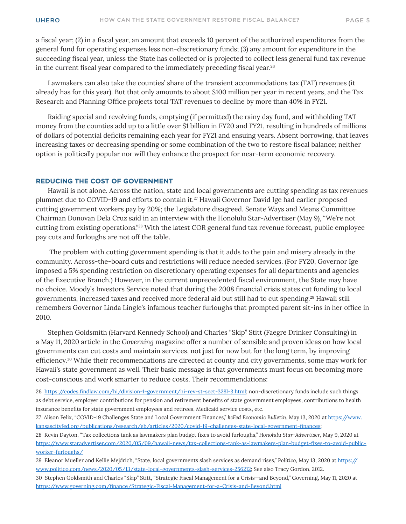a fiscal year; (2) in a fiscal year, an amount that exceeds 10 percent of the authorized expenditures from the general fund for operating expenses less non-discretionary funds; (3) any amount for expenditure in the succeeding fiscal year, unless the State has collected or is projected to collect less general fund tax revenue in the current fiscal year compared to the immediately preceding fiscal year.<sup>26</sup>

Lawmakers can also take the counties' share of the transient accommodations tax (TAT) revenues (it already has for this year). But that only amounts to about \$100 million per year in recent years, and the Tax Research and Planning Office projects total TAT revenues to decline by more than 40% in FY21.

Raiding special and revolving funds, emptying (if permitted) the rainy day fund, and withholding TAT money from the counties add up to a little over \$1 billion in FY20 and FY21, resulting in hundreds of millions of dollars of potential deficits remaining each year for FY21 and ensuing years. Absent borrowing, that leaves increasing taxes or decreasing spending or some combination of the two to restore fiscal balance; neither option is politically popular nor will they enhance the prospect for near-term economic recovery.

#### **REDUCING THE COST OF GOVERNMENT**

Hawaii is not alone. Across the nation, state and local governments are cutting spending as tax revenues plummet due to COVID-19 and efforts to contain it.27 Hawaii Governor David Ige had earlier proposed cutting government workers pay by 20%; the Legislature disagreed. Senate Ways and Means Committee Chairman Donovan Dela Cruz said in an interview with the Honolulu Star-Advertiser (May 9), "We're not cutting from existing operations."28 With the latest COR general fund tax revenue forecast, public employee pay cuts and furloughs are not off the table.

 The problem with cutting government spending is that it adds to the pain and misery already in the community. Across-the-board cuts and restrictions will reduce needed services. (For FY20, Governor Ige imposed a 5% spending restriction on discretionary operating expenses for all departments and agencies of the Executive Branch.) However, in the current unprecedented fiscal environment, the State may have no choice. Moody's Investors Service noted that during the 2008 financial crisis states cut funding to local governments, increased taxes and received more federal aid but still had to cut spending.29 Hawaii still remembers Governor Linda Lingle's infamous teacher furloughs that prompted parent sit-ins in her office in 2010.

Stephen Goldsmith (Harvard Kennedy School) and Charles "Skip" Stitt (Faegre Drinker Consulting) in a May 11, 2020 article in the *Governing* magazine offer a number of sensible and proven ideas on how local governments can cut costs and maintain services, not just for now but for the long term, by improving efficiency.30 While their recommendations are directed at county and city governments, some may work for Hawaii's state government as well. Their basic message is that governments must focus on becoming more cost-conscious and work smarter to reduce costs. Their recommendations:

- 27 Alison Felix, "COVID-19 Challenges State and Local Government Finances," *kcFed Economic Bulletin*, May 13, 2020 at [https://www.](https://www.kansascityfed.org/publications/research/eb/articles/2020/covid-19-challenges-state-local-government-finances) [kansascityfed.org/publications/research/eb/articles/2020/covid-19-challenges-state-local-government-finances](https://www.kansascityfed.org/publications/research/eb/articles/2020/covid-19-challenges-state-local-government-finances);
- 28 Kevin Dayton, "Tax collections tank as lawmakers plan budget fixes to avoid furloughs," *Honolulu Star-Advertiser*, May 9, 2020 at [https://www.staradvertiser.com/2020/05/09/hawaii-news/tax-collections-tank-as-lawmakers-plan-budget-fixes-to-avoid-public](https://www.staradvertiser.com/2020/05/09/hawaii-news/tax-collections-tank-as-lawmakers-plan-budget-)[worker-furloughs/](https://www.staradvertiser.com/2020/05/09/hawaii-news/tax-collections-tank-as-lawmakers-plan-budget-)
- 29 Eleanor Mueller and Kellie Mejdrich, "State, local governments slash services as demand rises," *Politico*, May 13, 2020 at [https://](https://www.politico.com/news/2020/05/13/state-local-governments-slash-services-256212) [www.politico.com/news/2020/05/13/state-local-governments-slash-services-256212;](https://www.politico.com/news/2020/05/13/state-local-governments-slash-services-256212) See also Tracy Gordon, 2012.
- 30 Stephen Goldsmith and Charles "Skip" Stitt, "Strategic Fiscal Management for a Crisis—and Beyond," Governing, May 11, 2020 at <https://www.governing.com/finance/Strategic-Fiscal-Management-for-a-Crisis-and-Beyond.html>

<sup>26</sup> <https://codes.findlaw.com/hi/division-1-government/hi-rev-st-sect-328l-3.html>; non-discretionary funds include such things as debt service, employer contributions for pension and retirement benefits of state government employees, contributions to health insurance benefits for state government employees and retirees, Medicaid service costs, etc.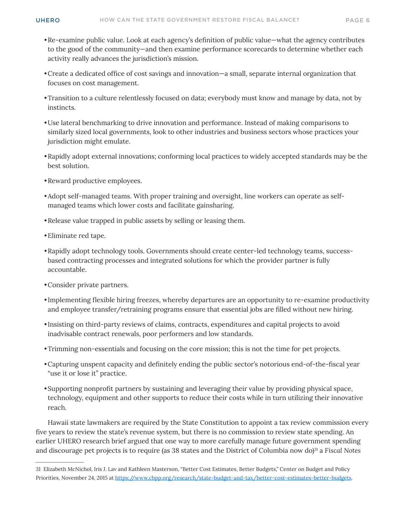- •Re-examine public value. Look at each agency's definition of public value—what the agency contributes to the good of the community—and then examine performance scorecards to determine whether each activity really advances the jurisdiction's mission.
- •Create a dedicated office of cost savings and innovation—a small, separate internal organization that focuses on cost management.
- •Transition to a culture relentlessly focused on data; everybody must know and manage by data, not by instincts.
- •Use lateral benchmarking to drive innovation and performance. Instead of making comparisons to similarly sized local governments, look to other industries and business sectors whose practices your jurisdiction might emulate.
- •Rapidly adopt external innovations; conforming local practices to widely accepted standards may be the best solution.
- •Reward productive employees.
- •Adopt self-managed teams. With proper training and oversight, line workers can operate as selfmanaged teams which lower costs and facilitate gainsharing.
- •Release value trapped in public assets by selling or leasing them.
- •Eliminate red tape.
- •Rapidly adopt technology tools. Governments should create center-led technology teams, successbased contracting processes and integrated solutions for which the provider partner is fully accountable.
- •Consider private partners.
- Implementing flexible hiring freezes, whereby departures are an opportunity to re-examine productivity and employee transfer/retraining programs ensure that essential jobs are filled without new hiring.
- Insisting on third-party reviews of claims, contracts, expenditures and capital projects to avoid inadvisable contract renewals, poor performers and low standards.
- •Trimming non-essentials and focusing on the core mission; this is not the time for pet projects.
- •Capturing unspent capacity and definitely ending the public sector's notorious end-of-the-fiscal year "use it or lose it" practice.
- •Supporting nonprofit partners by sustaining and leveraging their value by providing physical space, technology, equipment and other supports to reduce their costs while in turn utilizing their innovative reach.

Hawaii state lawmakers are required by the State Constitution to appoint a tax review commission every five years to review the state's revenue system, but there is no commission to review state spending. An earlier UHERO research brief argued that one way to more carefully manage future government spending and discourage pet projects is to require (as 38 states and the District of Columbia now do)<sup>31</sup> a *Fiscal Notes* 

<sup>31</sup> Elizabeth McNichol, Iris J. Lav and Kathleen Masterson, "Better Cost Estimates, Better Budgets," Center on Budget and Policy Priorities, November 24, 2015 at <https://www.cbpp.org/research/state-budget-and-tax/better-cost-estimates-better-budgets>.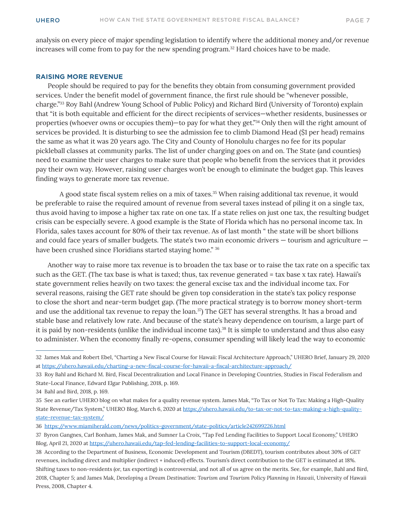analysis on every piece of major spending legislation to identify where the additional money and/or revenue increases will come from to pay for the new spending program.<sup>32</sup> Hard choices have to be made.

#### **RAISING MORE REVENUE**

People should be required to pay for the benefits they obtain from consuming government provided services. Under the benefit model of government finance, the first rule should be "whenever possible, charge."33 Roy Bahl (Andrew Young School of Public Policy) and Richard Bird (University of Toronto) explain that "it is both equitable and efficient for the direct recipients of services—whether residents, businesses or properties (whoever owns or occupies them)—to pay for what they get."34 Only then will the right amount of services be provided. It is disturbing to see the admission fee to climb Diamond Head (\$1 per head) remains the same as what it was 20 years ago. The City and County of Honolulu charges no fee for its popular pickleball classes at community parks. The list of under charging goes on and on. The State (and counties) need to examine their user charges to make sure that people who benefit from the services that it provides pay their own way. However, raising user charges won't be enough to eliminate the budget gap. This leaves finding ways to generate more tax revenue.

A good state fiscal system relies on a mix of taxes.<sup>35</sup> When raising additional tax revenue, it would be preferable to raise the required amount of revenue from several taxes instead of piling it on a single tax, thus avoid having to impose a higher tax rate on one tax. If a state relies on just one tax, the resulting budget crisis can be especially severe. A good example is the State of Florida which has no personal income tax. In Florida, sales taxes account for 80% of their tax revenue. As of last month " the state will be short billions and could face years of smaller budgets. The state's two main economic drivers — tourism and agriculture have been crushed since Floridians started staying home." 36

Another way to raise more tax revenue is to broaden the tax base or to raise the tax rate on a specific tax such as the GET. (The tax base is what is taxed; thus, tax revenue generated = tax base x tax rate). Hawaii's state government relies heavily on two taxes: the general excise tax and the individual income tax. For several reasons, raising the GET rate should be given top consideration in the state's tax policy response to close the short and near-term budget gap. (The more practical strategy is to borrow money short-term and use the additional tax revenue to repay the loan.<sup>37</sup>) The GET has several strengths. It has a broad and stable base and relatively low rate. And because of the state's heavy dependence on tourism, a large part of it is paid by non-residents (unlike the individual income tax).<sup>38</sup> It is simple to understand and thus also easy to administer. When the economy finally re-opens, consumer spending will likely lead the way to economic

<sup>32</sup> James Mak and Robert Ebel, "Charting a New Fiscal Course for Hawaii: Fiscal Architecture Approach," UHERO Brief, January 29, 2020 at <https://uhero.hawaii.edu/charting-a-new-fiscal-course-for-hawaii-a-fiscal-architecture-approach/>

<sup>33</sup> Roy Bahl and Richard M. Bird, Fiscal Decentralization and Local Finance in Developing Countries, Studies in Fiscal Federalism and State-Local Finance, Edward Elgar Publishing, 2018, p. 169.

<sup>34</sup> Bahl and Bird, 2018, p. 169.

<sup>35</sup> See an earlier UHERO blog on what makes for a quality revenue system. James Mak, "To Tax or Not To Tax: Making a High-Quality State Revenue/Tax System," UHERO Blog, March 6, 2020 at [https://uhero.hawaii.edu/to-tax-or-not-to-tax-making-a-high-quality](https://uhero.hawaii.edu/to-tax-or-not-to-tax-making-a-high-quality-state-revenue-tax-system/)[state-revenue-tax-system/](https://uhero.hawaii.edu/to-tax-or-not-to-tax-making-a-high-quality-state-revenue-tax-system/)

<sup>36</sup> <https://www.miamiherald.com/news/politics-government/state-politics/article242699226.html>

<sup>37</sup> Byron Gangnes, Carl Bonham, James Mak, and Sumner La Croix, "Tap Fed Lending Facilities to Support Local Economy," UHERO Blog, April 21, 2020 at<https://uhero.hawaii.edu/tap-fed-lending-facilities-to-support-local-economy/>

<sup>38</sup> According to the Department of Business, Economic Development and Tourism (DBEDT), tourism contributes about 30% of GET revenues, including direct and multiplier (indirect + induced) effects. Tourism's direct contribution to the GET is estimated at 18%. Shifting taxes to non-residents (or, tax exporting) is controversial, and not all of us agree on the merits. See, for example, Bahl and Bird, 2018, Chapter 5; and James Mak, *Developing a Dream Destination: Tourism and Tourism Policy Planning in Hawaii*, University of Hawaii Press, 2008, Chapter 4.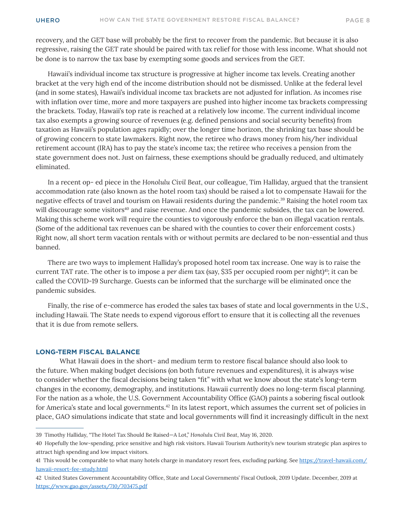recovery, and the GET base will probably be the first to recover from the pandemic. But because it is also regressive, raising the GET rate should be paired with tax relief for those with less income. What should not be done is to narrow the tax base by exempting some goods and services from the GET.

Hawaii's individual income tax structure is progressive at higher income tax levels. Creating another bracket at the very high end of the income distribution should not be dismissed. Unlike at the federal level (and in some states), Hawaii's individual income tax brackets are not adjusted for inflation. As incomes rise with inflation over time, more and more taxpayers are pushed into higher income tax brackets compressing the brackets. Today, Hawaii's top rate is reached at a relatively low income. The current individual income tax also exempts a growing source of revenues (e.g. defined pensions and social security benefits) from taxation as Hawaii's population ages rapidly; over the longer time horizon, the shrinking tax base should be of growing concern to state lawmakers. Right now, the retiree who draws money from his/her individual retirement account (IRA) has to pay the state's income tax; the retiree who receives a pension from the state government does not. Just on fairness, these exemptions should be gradually reduced, and ultimately eliminated.

In a recent op- ed piece in the *Honolulu Civil Beat*, our colleague, Tim Halliday, argued that the transient accommodation rate (also known as the hotel room tax) should be raised a lot to compensate Hawaii for the negative effects of travel and tourism on Hawaii residents during the pandemic.39 Raising the hotel room tax will discourage some visitors<sup>40</sup> and raise revenue. And once the pandemic subsides, the tax can be lowered. Making this scheme work will require the counties to vigorously enforce the ban on illegal vacation rentals. (Some of the additional tax revenues can be shared with the counties to cover their enforcement costs.) Right now, all short term vacation rentals with or without permits are declared to be non-essential and thus banned.

There are two ways to implement Halliday's proposed hotel room tax increase. One way is to raise the current TAT rate. The other is to impose a *per diem* tax (say, \$35 per occupied room per night)41; it can be called the COVID-19 Surcharge. Guests can be informed that the surcharge will be eliminated once the pandemic subsides.

Finally, the rise of e-commerce has eroded the sales tax bases of state and local governments in the U.S., including Hawaii. The State needs to expend vigorous effort to ensure that it is collecting all the revenues that it is due from remote sellers.

#### **LONG-TERM FISCAL BALANCE**

What Hawaii does in the short- and medium term to restore fiscal balance should also look to the future. When making budget decisions (on both future revenues and expenditures), it is always wise to consider whether the fiscal decisions being taken "fit" with what we know about the state's long-term changes in the economy, demography, and institutions. Hawaii currently does no long-term fiscal planning. For the nation as a whole, the U.S. Government Accountability Office (GAO) paints a sobering fiscal outlook for America's state and local governments.42 In its latest report, which assumes the current set of policies in place, GAO simulations indicate that state and local governments will find it increasingly difficult in the next

<sup>39</sup> Timothy Halliday, "The Hotel Tax Should Be Raised—A Lot," *Honolulu Civil Beat*, May 16, 2020.

<sup>40</sup> Hopefully the low-spending, price sensitive and high risk visitors. Hawaii Tourism Authority's new tourism strategic plan aspires to attract high spending and low impact visitors.

<sup>41</sup> This would be comparable to what many hotels charge in mandatory resort fees, excluding parking. See [https://travel-hawaii.com/](https://travel-hawaii.com/hawaii-resort-fee-study.html) [hawaii-resort-fee-study.html](https://travel-hawaii.com/hawaii-resort-fee-study.html)

<sup>42</sup> United States Government Accountability Office, State and Local Governments' Fiscal Outlook, 2019 Update. December, 2019 at <https://www.gao.gov/assets/710/703475.pdf>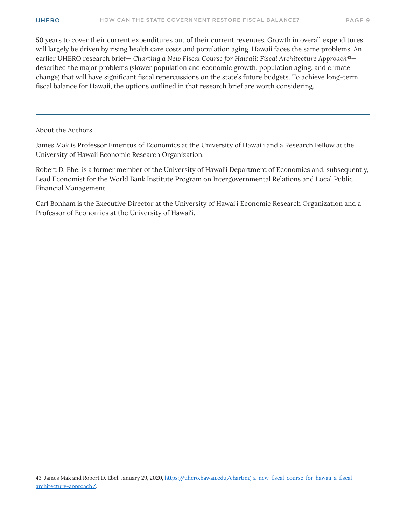50 years to cover their current expenditures out of their current revenues. Growth in overall expenditures will largely be driven by rising health care costs and population aging. Hawaii faces the same problems. An earlier UHERO research brief— *Charting a New Fiscal Course for Hawaii: Fiscal Architecture Approach*<sup>43</sup> described the major problems (slower population and economic growth, population aging, and climate change) that will have significant fiscal repercussions on the state's future budgets. To achieve long-term fiscal balance for Hawaii, the options outlined in that research brief are worth considering.

#### About the Authors

James Mak is Professor Emeritus of Economics at the University of Hawai'i and a Research Fellow at the University of Hawaii Economic Research Organization.

Robert D. Ebel is a former member of the University of Hawai'i Department of Economics and, subsequently, Lead Economist for the World Bank Institute Program on Intergovernmental Relations and Local Public Financial Management.

Carl Bonham is the Executive Director at the University of Hawai'i Economic Research Organization and a Professor of Economics at the University of Hawai'i.

<sup>43</sup> James Mak and Robert D. Ebel, January 29, 2020, [https://uhero.hawaii.edu/charting-a-new-fiscal-course-for-hawaii-a-fiscal](https://uhero.hawaii.edu/charting-a-new-fiscal-course-for-hawaii-a-fiscal-architecture-approach/)[architecture-approach/](https://uhero.hawaii.edu/charting-a-new-fiscal-course-for-hawaii-a-fiscal-architecture-approach/).